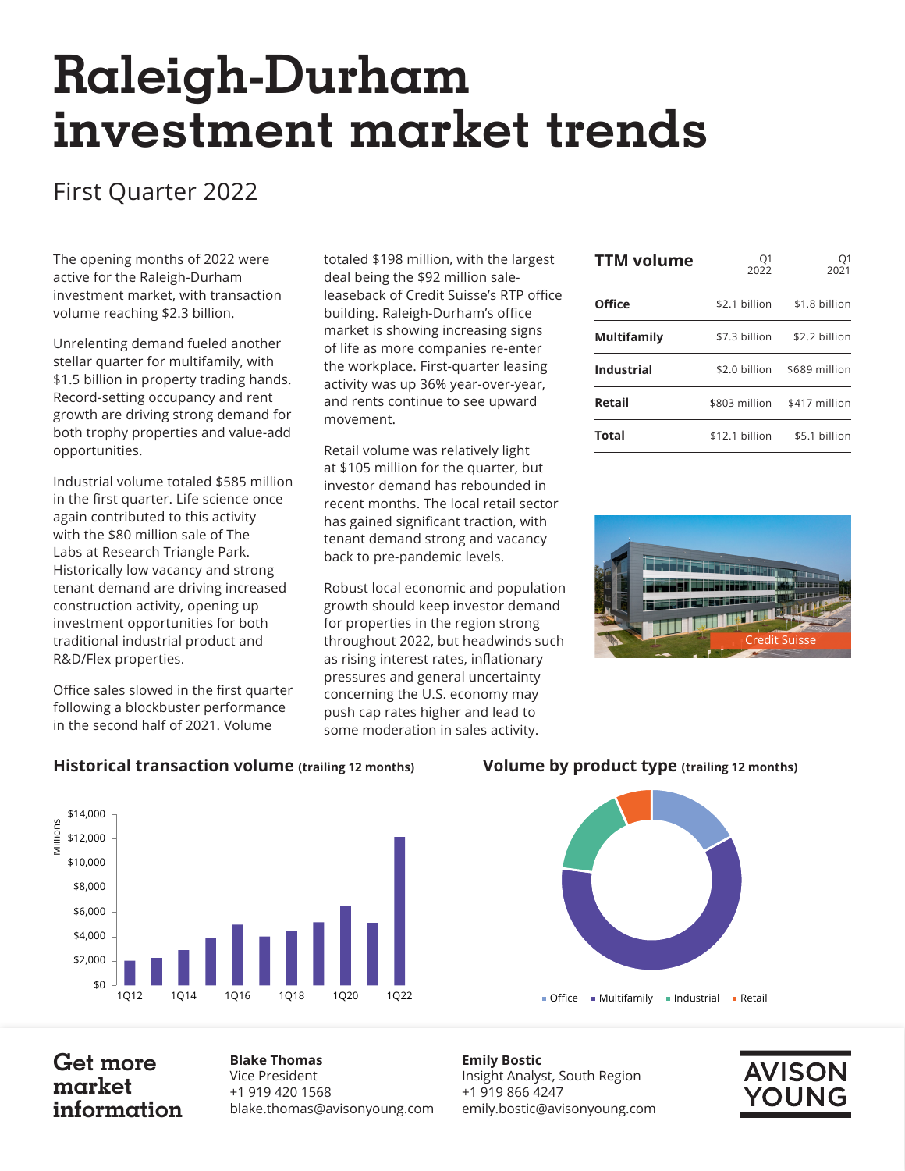# **Raleigh-Durham investment market trends**

## First Quarter 2022

The opening months of 2022 were active for the Raleigh-Durham investment market, with transaction volume reaching \$2.3 billion.

Unrelenting demand fueled another stellar quarter for multifamily, with \$1.5 billion in property trading hands. Record-setting occupancy and rent growth are driving strong demand for both trophy properties and value-add opportunities.

Industrial volume totaled \$585 million in the first quarter. Life science once again contributed to this activity with the \$80 million sale of The Labs at Research Triangle Park. Historically low vacancy and strong tenant demand are driving increased construction activity, opening up investment opportunities for both traditional industrial product and R&D/Flex properties.

Office sales slowed in the first quarter following a blockbuster performance in the second half of 2021. Volume

totaled \$198 million, with the largest deal being the \$92 million saleleaseback of Credit Suisse's RTP office building. Raleigh-Durham's office market is showing increasing signs of life as more companies re-enter the workplace. First-quarter leasing activity was up 36% year-over-year, and rents continue to see upward movement.

Retail volume was relatively light at \$105 million for the quarter, but investor demand has rebounded in recent months. The local retail sector has gained significant traction, with tenant demand strong and vacancy back to pre-pandemic levels.

Robust local economic and population growth should keep investor demand for properties in the region strong throughout 2022, but headwinds such as rising interest rates, inflationary pressures and general uncertainty concerning the U.S. economy may push cap rates higher and lead to some moderation in sales activity.

| <b>TTM volume</b> | O1<br>2022     | O1<br>2021    |
|-------------------|----------------|---------------|
| Office            | \$2.1 billion  | \$1.8 billion |
| Multifamily       | \$7.3 billion  | \$2.2 billion |
| <b>Industrial</b> | \$2.0 billion  | \$689 million |
| Retail            | \$803 million  | \$417 million |
| Total             | \$12.1 billion | \$5.1 billion |



#### **Historical transaction volume (trailing 12 months) Volume by product type (trailing 12 months)**



### **Get more market information**

**Blake Thomas** Vice President +1 919 420 1568 blake.thomas@avisonyoung.com



**Emily Bostic** Insight Analyst, South Region +1 919 866 4247 emily.bostic@avisonyoung.com

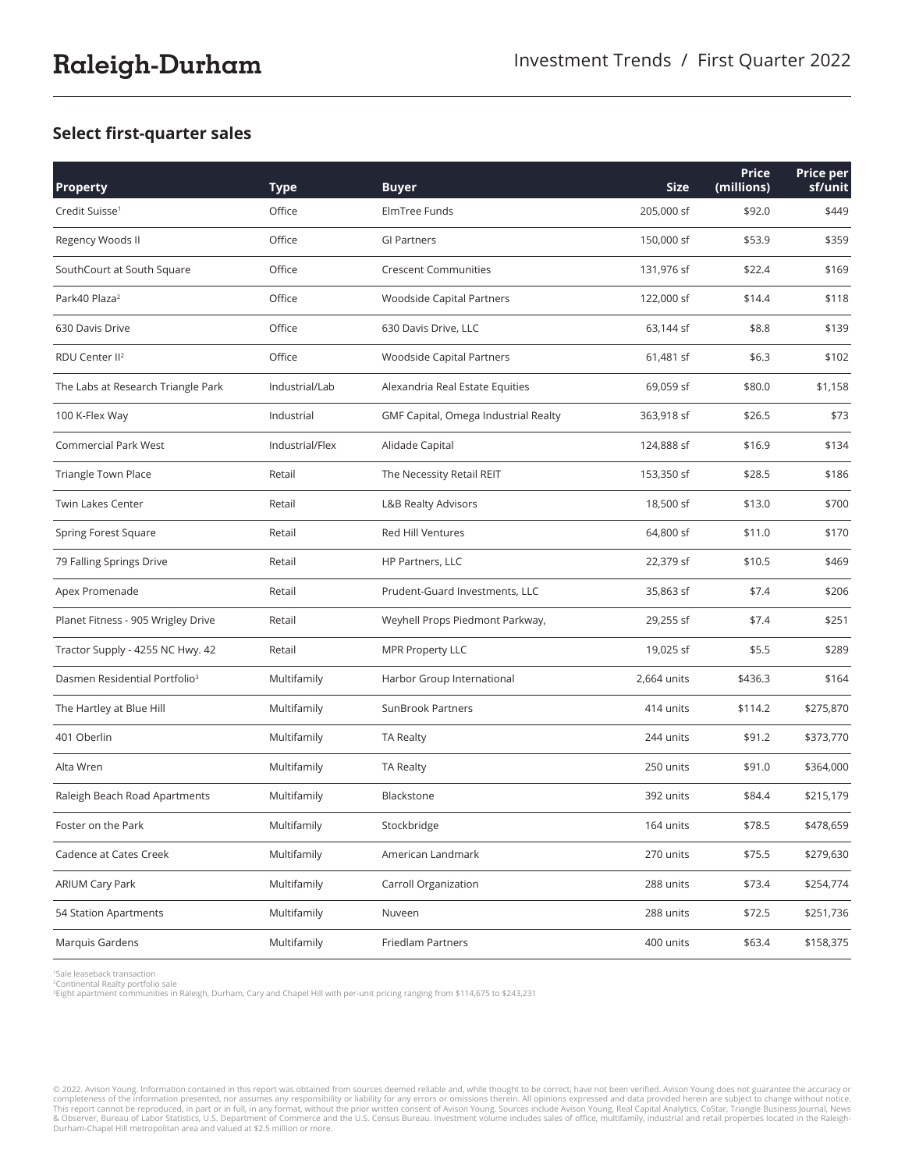#### **Select first-quarter sales**

| <b>Property</b>                           | <b>Type</b>     | <b>Buyer</b>                         | <b>Size</b> | Price<br>(millions) | Price per<br>sf/unit |
|-------------------------------------------|-----------------|--------------------------------------|-------------|---------------------|----------------------|
| Credit Suisse <sup>1</sup>                | Office          | ElmTree Funds                        | 205,000 sf  | \$92.0              | \$449                |
| Regency Woods II                          | Office          | <b>GI Partners</b>                   | 150,000 sf  | \$53.9              | \$359                |
| SouthCourt at South Square                | Office          | <b>Crescent Communities</b>          | 131,976 sf  | \$22.4              | \$169                |
| Park40 Plaza <sup>2</sup>                 | Office          | Woodside Capital Partners            | 122,000 sf  | \$14.4              | \$118                |
| 630 Davis Drive                           | Office          | 630 Davis Drive, LLC                 | 63,144 sf   | \$8.8               | \$139                |
| RDU Center II <sup>2</sup>                | Office          | Woodside Capital Partners            | 61,481 sf   | \$6.3               | \$102                |
| The Labs at Research Triangle Park        | Industrial/Lab  | Alexandria Real Estate Equities      | 69,059 sf   | \$80.0              | \$1,158              |
| 100 K-Flex Way                            | Industrial      | GMF Capital, Omega Industrial Realty | 363,918 sf  | \$26.5              | \$73                 |
| <b>Commercial Park West</b>               | Industrial/Flex | Alidade Capital                      | 124,888 sf  | \$16.9              | \$134                |
| Triangle Town Place                       | Retail          | The Necessity Retail REIT            | 153,350 sf  | \$28.5              | \$186                |
| Twin Lakes Center                         | Retail          | L&B Realty Advisors                  | 18,500 sf   | \$13.0              | \$700                |
| Spring Forest Square                      | Retail          | <b>Red Hill Ventures</b>             | 64,800 sf   | \$11.0              | \$170                |
| 79 Falling Springs Drive                  | Retail          | HP Partners, LLC                     | 22,379 sf   | \$10.5              | \$469                |
| Apex Promenade                            | Retail          | Prudent-Guard Investments, LLC       | 35,863 sf   | \$7.4               | \$206                |
| Planet Fitness - 905 Wrigley Drive        | Retail          | Weyhell Props Piedmont Parkway,      | 29,255 sf   | \$7.4               | \$251                |
| Tractor Supply - 4255 NC Hwy. 42          | Retail          | <b>MPR Property LLC</b>              | 19,025 sf   | \$5.5               | \$289                |
| Dasmen Residential Portfolio <sup>3</sup> | Multifamily     | Harbor Group International           | 2,664 units | \$436.3             | \$164                |
| The Hartley at Blue Hill                  | Multifamily     | SunBrook Partners                    | 414 units   | \$114.2             | \$275,870            |
| 401 Oberlin                               | Multifamily     | <b>TA Realty</b>                     | 244 units   | \$91.2              | \$373,770            |
| Alta Wren                                 | Multifamily     | <b>TA Realty</b>                     | 250 units   | \$91.0              | \$364,000            |
| Raleigh Beach Road Apartments             | Multifamily     | Blackstone                           | 392 units   | \$84.4              | \$215,179            |
| Foster on the Park                        | Multifamily     | Stockbridge                          | 164 units   | \$78.5              | \$478,659            |
| Cadence at Cates Creek                    | Multifamily     | American Landmark                    | 270 units   | \$75.5              | \$279,630            |
| <b>ARIUM Cary Park</b>                    | Multifamily     | Carroll Organization                 | 288 units   | \$73.4              | \$254,774            |
| 54 Station Apartments                     | Multifamily     | Nuveen                               | 288 units   | \$72.5              | \$251,736            |
| Marquis Gardens                           | Multifamily     | <b>Friedlam Partners</b>             | 400 units   | \$63.4              | \$158,375            |

1Sale leaseback transaction

2Continental Realty portfolio sale

3Eight apartment communities in Raleigh, Durham, Cary and Chapel Hill with per-unit pricing ranging from \$114,675 to \$243,231

© 2022. Avison Young. Information contained in this report was obtained from sources deemed reliable and, while thought to be correct, have not been verified. Avison Young does not guarantee the accuracy or completeness of the information presented, nor assumes any responsibility or liability for any errors or omissions therein. All opinions expressed and data provided herein are subject to change without notice.<br>This report